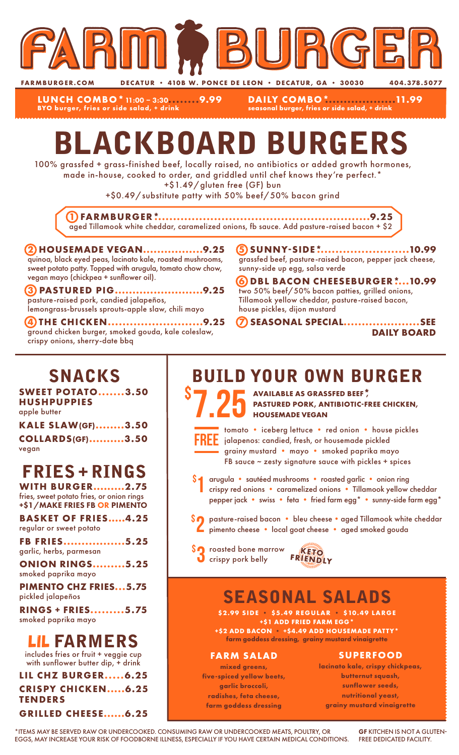

**FARMBURGER.COM DECATUR • 410B W. PONCE DE LEON • DECATUR, GA • 30030 404.378.5077**

**LUNCH COMBO\***11:00 – 3:30**........9.99 BYO burger, fries or side salad, + drink**

**DAILY COMBO\*...................11.99 seasonal burger, fries or side salad, + drink**

# BLACKBOARD BURGERS

100% grassfed + grass-finished beef, locally raised, no antibiotics or added growth hormones, made in-house, cooked to order, and griddled until chef knows they're perfect.\*

+\$1.49/gluten free (GF) bun

+\$0.49/substitute patty with 50% beef/50% bacon grind

**1 FARMBURGER\*..........................................................9.25** aged Tillamook white cheddar, caramelized onions, fb sauce. Add pasture-raised bacon + \$2

#### **2 HOUSEMADE VEGAN.................9.25** quinoa, black eyed peas, lacinato kale, roasted mushrooms, sweet potato patty. Topped with arugula, tomato chow chow, vegan mayo (chickpea + sunflower oil).

**3 PASTURED PIG.........................9.25** pasture-raised pork, candied jalapeños, lemongrass-brussels sprouts-apple slaw, chili mayo

**4 THE CHICKEN..........................9.25** ground chicken burger, smoked gouda, kale coleslaw, crispy onions, sherry-date bbq

**5 SUNNY-SIDE\*.........................10.99** grassfed beef, pasture-raised bacon, pepper jack cheese, sunny-side up egg, salsa verde

**6 DBL BACON CHEESEBURGER\*....10.99** two 50% beef/50% bacon patties, grilled onions, Tillamook yellow cheddar, pasture-raised bacon, house pickles, dijon mustard

**7 SEASONAL SPECIAL.....................SEE DAILY BOARD**

### SNACKS

**SWEET POTATO.......3.50 HUSHPUPPIES** apple butter

| <b>KALE SLAW(GF)3.50</b> |  |
|--------------------------|--|
| <b>COLLARDS(GF)3.50</b>  |  |
| vegan                    |  |

# FRIES + RINGS

**WITH BURGER.........2.75** fries, sweet potato fries, or onion rings +\$1/MAKE FRIES FB OR PIMENTO

**BASKET OF FRIES.....4.25** regular or sweet potato

**FB FRIES.................5.25** garlic, herbs, parmesan

**ONION RINGS.........5.25** smoked paprika mayo

**PIMENTO CHZ FRIES...5.75** pickled jalapeños

**RINGS + FRIES.........5.75** smoked paprika mayo

### LIL FARMERS

includes fries or fruit + veggie cup with sunflower butter dip, + drink

**LIL CHZ BURGER.....6.25 CRISPY CHICKEN.....6.25 TENDERS GRILLED CHEESE......6.25**

### BUILD YOUR OWN BURGER

7.25 \$ **AVAILABLE AS GRASSFED BEEF\*, PASTURED PORK, ANTIBIOTIC-FREE CHICKEN, HOUSEMADE VEGAN**



\$

tomato • iceberg lettuce • red onion • house pickles jalapenos: candied, fresh, or housemade pickled grainy mustard • mayo • smoked paprika mayo FB sauce  $\sim$  zesty signature sauce with pickles + spices

arugula • sautéed mushrooms • roasted garlic • onion ring crispy red onions • caramelized onions • Tillamook yellow cheddar pepper jack • swiss • feta • fried farm egg\* • sunny-side farm egg\* 1

- \$2 pasture-raised bacon bleu cheese aged Tillamook white cheddar<br>Pimento cheese local goat cheese aged smoked gouda pimento cheese • local goat cheese • aged smoked gouda
- **SO** roasted bone marrow **KETO**<br> **O** crispy pork belly FRIENDLY



# SEASONAL SALADS

**\$2.99 SIDE • \$5.49 REGULAR • \$10.49 LARGE +\$1 ADD FRIED FARM EGG\* +\$2 ADD BACON • +\$4.49 ADD HOUSEMADE PATTY\***

**farm goddess dressing, grainy mustard vinaigrette**

#### **FARM SALAD**

**mixed greens, five-spiced yellow beets, garlic broccoli, radishes, feta cheese, farm goddess dressing**

#### **SUPERFOOD**

**lacinato kale, crispy chickpeas, butternut squash, sunflower seeds, nutritional yeast, grainy mustard vinaigrette**

\*ITEMS MAY BE SERVED RAW OR UNDERCOOKED. CONSUMING RAW OR UNDERCOOKED MEATS, POULTRY, OR EGGS, MAY INCREASE YOUR RISK OF FOODBORNE ILLNESS, ESPECIALLY IF YOU HAVE CERTAIN MEDICAL CONDITIONS.

GF KITCHEN IS NOT A GLUTEN-FREE DEDICATED FACILITY.